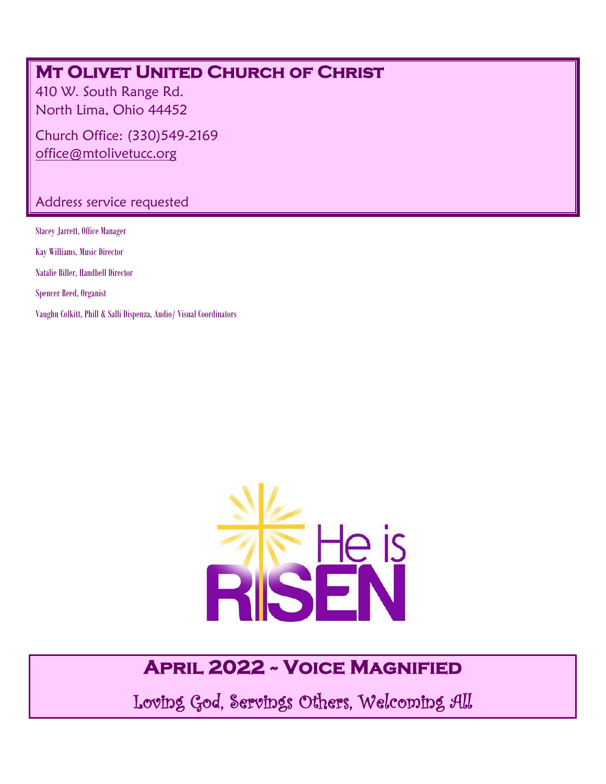### **MT OLIVET UNITED CHURCH OF CHRIST**

410 W. South Range Rd. North Lima, Ohio 44452

Church Office: (330)549-2169 [office@mtolivetucc.org](mailto:office@mtolivetucc.org)

#### Address service requested

Stacey Jarrett, Office Manager Kay Williams, Music Director Natalie Biller, Handbell Director Spencer Reed, Organist Vaughn Colkitt, Phill & Salli Dispenza, Audio/ Visual Coordinators



## **April 2022 ~ Voice Magnified**

Loving God, Servings Others, Welcoming All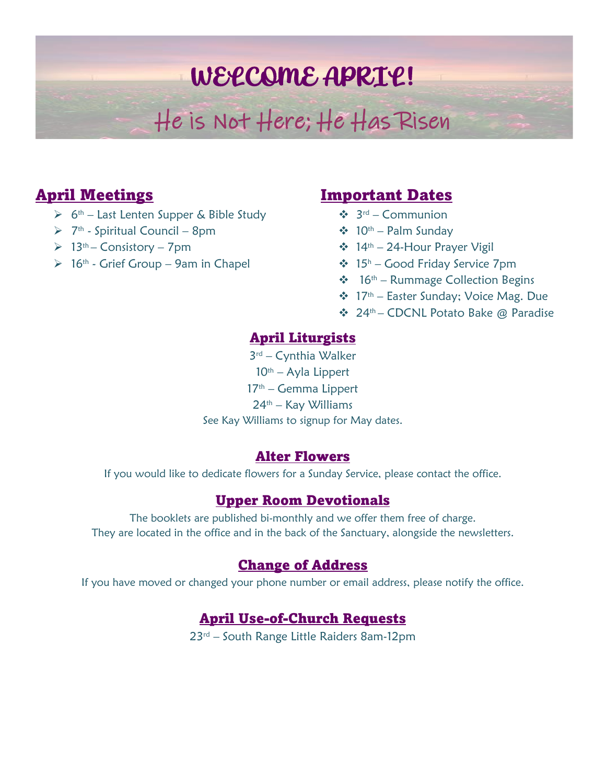# WELCOME APRIL!

# He is Not Here; He Has Risen

#### April Meetings

- ➢ 6 th Last Lenten Supper & Bible Study
- ➢ 7 th Spiritual Council 8pm
- $\geq 13$ <sup>th</sup> Consistory 7pm
- $\geq 16$ <sup>th</sup> Grief Group 9am in Chapel

#### Important Dates

- ❖ 3 rd Communion
- $\div$  10<sup>th</sup> Palm Sunday
- ❖ 14th 24-Hour Prayer Vigil
- ❖ 15 <sup>h</sup> Good Friday Service 7pm
- ❖ 16th Rummage Collection Begins
- ❖ 17th Easter Sunday; Voice Mag. Due
- ❖ 24th CDCNL Potato Bake @ Paradise

#### April Liturgists

3 rd – Cynthia Walker  $10<sup>th</sup> - Ay$ la Lippert  $17<sup>th</sup>$  – Gemma Lippert 24th – Kay Williams See Kay Williams to signup for May dates.

#### Alter Flowers

If you would like to dedicate flowers for a Sunday Service, please contact the office.

#### Upper Room Devotionals

The booklets are published bi-monthly and we offer them free of charge. They are located in the office and in the back of the Sanctuary, alongside the newsletters.

#### Change of Address

If you have moved or changed your phone number or email address, please notify the office.

#### April Use-of-Church Requests

23<sup>rd</sup> – South Range Little Raiders 8am-12pm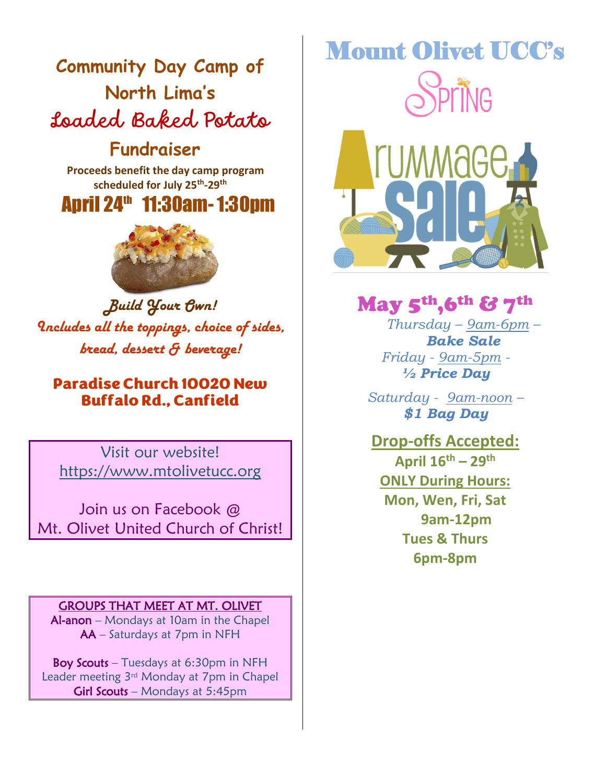## **Community Day Camp of North Lima's**  Loaded Baked Potato

### **Fundraiser**

 **Proceeds benefit the day camp program scheduled for July 25th -29th** Proceeds benefit the day camp program<br>scheduled for July 25<sup>th</sup>-29<sup>th</sup><br>**April 24<sup>th</sup> 11:30am- 1:30pm** 



*Build Your Own! Includes all the toppings, choice of sides, bread, dessert & beverage!*

Paradise Church 10020 New Buffalo Rd., Canfield

Visit our website! [https://www.mtolivetucc.org](https://www.mtolivetucc.org/)

Join us on Facebook @ Mt. Olivet United Church of Christ!

GROUPS THAT MEET AT MT. OLIVET Al-anon – Mondays at 10am in the Chapel AA – Saturdays at 7pm in NFH

Boy Scouts – Tuesdays at 6:30pm in NFH Leader meeting 3rd Monday at 7pm in Chapel Girl Scouts – Mondays at 5:45pm

# Mount Olivet UCC's IG



May 5th,6th & 7th *Thursday – 9am-6pm – Bake Sale*

*Friday - 9am-5pm - ½ Price Day*

*Saturday - 9am-noon – \$1 Bag Day*

**Drop-offs Accepted: April 16th – 29th ONLY During Hours: Mon, Wen, Fri, Sat 9am-12pm Tues & Thurs 6pm-8pm**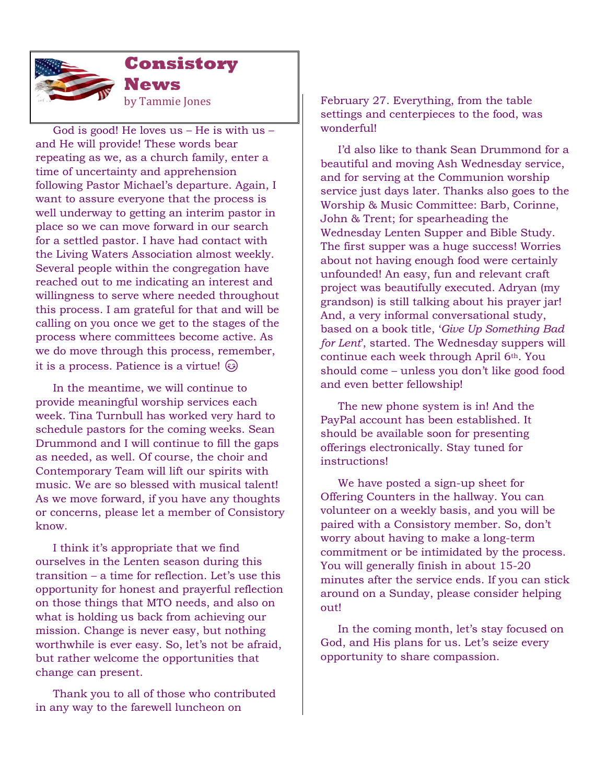

**Consistory News**  by Tammie Jones

 God is good! He loves us – He is with us – and He will provide! These words bear repeating as we, as a church family, enter a time of uncertainty and apprehension following Pastor Michael's departure. Again, I want to assure everyone that the process is well underway to getting an interim pastor in place so we can move forward in our search for a settled pastor. I have had contact with the Living Waters Association almost weekly. Several people within the congregation have reached out to me indicating an interest and willingness to serve where needed throughout this process. I am grateful for that and will be calling on you once we get to the stages of the process where committees become active. As we do move through this process, remember, it is a process. Patience is a virtue!

 In the meantime, we will continue to provide meaningful worship services each week. Tina Turnbull has worked very hard to schedule pastors for the coming weeks. Sean Drummond and I will continue to fill the gaps as needed, as well. Of course, the choir and Contemporary Team will lift our spirits with music. We are so blessed with musical talent! As we move forward, if you have any thoughts or concerns, please let a member of Consistory know.

 I think it's appropriate that we find ourselves in the Lenten season during this transition – a time for reflection. Let's use this opportunity for honest and prayerful reflection on those things that MTO needs, and also on what is holding us back from achieving our mission. Change is never easy, but nothing worthwhile is ever easy. So, let's not be afraid, but rather welcome the opportunities that change can present.

 Thank you to all of those who contributed in any way to the farewell luncheon on

February 27. Everything, from the table settings and centerpieces to the food, was wonderful!

 I'd also like to thank Sean Drummond for a beautiful and moving Ash Wednesday service, and for serving at the Communion worship service just days later. Thanks also goes to the Worship & Music Committee: Barb, Corinne, John & Trent; for spearheading the Wednesday Lenten Supper and Bible Study. The first supper was a huge success! Worries about not having enough food were certainly unfounded! An easy, fun and relevant craft project was beautifully executed. Adryan (my grandson) is still talking about his prayer jar! And, a very informal conversational study, based on a book title, '*Give Up Something Bad for Lent*', started. The Wednesday suppers will continue each week through April 6th. You should come – unless you don't like good food and even better fellowship!

 The new phone system is in! And the PayPal account has been established. It should be available soon for presenting offerings electronically. Stay tuned for **instructions!** 

 We have posted a sign-up sheet for Offering Counters in the hallway. You can volunteer on a weekly basis, and you will be paired with a Consistory member. So, don't worry about having to make a long-term commitment or be intimidated by the process. You will generally finish in about 15-20 minutes after the service ends. If you can stick around on a Sunday, please consider helping out!

 In the coming month, let's stay focused on God, and His plans for us. Let's seize every opportunity to share compassion.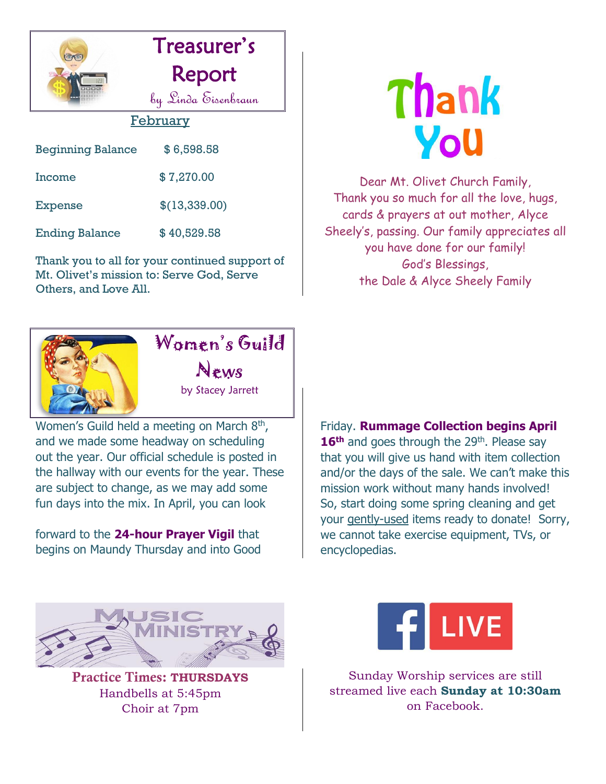



#### February

| <b>Beginning Balance</b> | \$6,598.58    |
|--------------------------|---------------|
| Income                   | \$7,270.00    |
| Expense                  | \$(13,339.00) |
| <b>Ending Balance</b>    | \$40,529.58   |

Thank you to all for your continued support of Mt. Olivet's mission to: Serve God, Serve Others, and Love All.



Dear Mt. Olivet Church Family, Thank you so much for all the love, hugs, cards & prayers at out mother, Alyce Sheely's, passing. Our family appreciates all you have done for our family! God's Blessings, the Dale & Alyce Sheely Family



# Women's Guild

News

by Stacey Jarrett

Women's Guild held a meeting on March  $8<sup>th</sup>$ , and we made some headway on scheduling out the year. Our official schedule is posted in the hallway with our events for the year. These are subject to change, as we may add some fun days into the mix. In April, you can look

forward to the **24-hour Prayer Vigil** that begins on Maundy Thursday and into Good

Friday. **Rummage Collection begins April**  16<sup>th</sup> and goes through the 29<sup>th</sup>. Please say that you will give us hand with item collection and/or the days of the sale. We can't make this mission work without many hands involved! So, start doing some spring cleaning and get your gently-used items ready to donate! Sorry, we cannot take exercise equipment, TVs, or encyclopedias.



Practice Times: **THURSDAYS** Handbells at 5:45pm Choir at 7pm



Sunday Worship services are still streamed live each **Sunday at 10:30am** on Facebook.